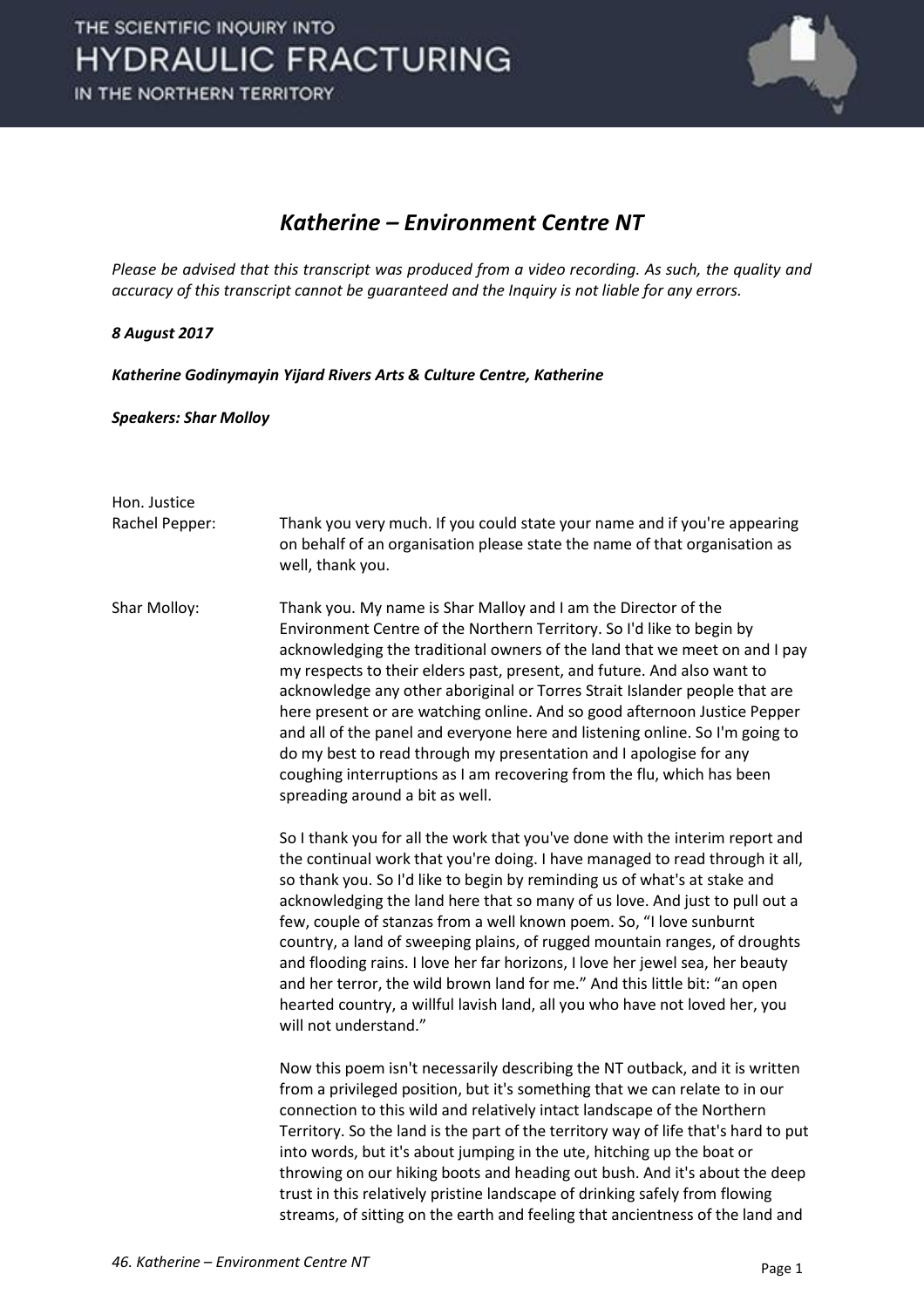

## *Katherine – Environment Centre NT*

*Please be advised that this transcript was produced from a video recording. As such, the quality and accuracy of this transcript cannot be guaranteed and the Inquiry is not liable for any errors.*

## *8 August 2017*

*Katherine Godinymayin Yijard Rivers Arts & Culture Centre, Katherine*

## *Speakers: Shar Molloy*

Hon. Justice Rachel Pepper: Thank you very much. If you could state your name and if you're appearing on behalf of an organisation please state the name of that organisation as well, thank you. Shar Molloy: Thank you. My name is Shar Malloy and I am the Director of the Environment Centre of the Northern Territory. So I'd like to begin by acknowledging the traditional owners of the land that we meet on and I pay my respects to their elders past, present, and future. And also want to acknowledge any other aboriginal or Torres Strait Islander people that are here present or are watching online. And so good afternoon Justice Pepper and all of the panel and everyone here and listening online. So I'm going to do my best to read through my presentation and I apologise for any coughing interruptions as I am recovering from the flu, which has been spreading around a bit as well. So I thank you for all the work that you've done with the interim report and the continual work that you're doing. I have managed to read through it all, so thank you. So I'd like to begin by reminding us of what's at stake and acknowledging the land here that so many of us love. And just to pull out a few, couple of stanzas from a well known poem. So, "I love sunburnt country, a land of sweeping plains, of rugged mountain ranges, of droughts and flooding rains. I love her far horizons, I love her jewel sea, her beauty and her terror, the wild brown land for me." And this little bit: "an open hearted country, a willful lavish land, all you who have not loved her, you will not understand." Now this poem isn't necessarily describing the NT outback, and it is written from a privileged position, but it's something that we can relate to in our connection to this wild and relatively intact landscape of the Northern Territory. So the land is the part of the territory way of life that's hard to put into words, but it's about jumping in the ute, hitching up the boat or throwing on our hiking boots and heading out bush. And it's about the deep trust in this relatively pristine landscape of drinking safely from flowing streams, of sitting on the earth and feeling that ancientness of the land and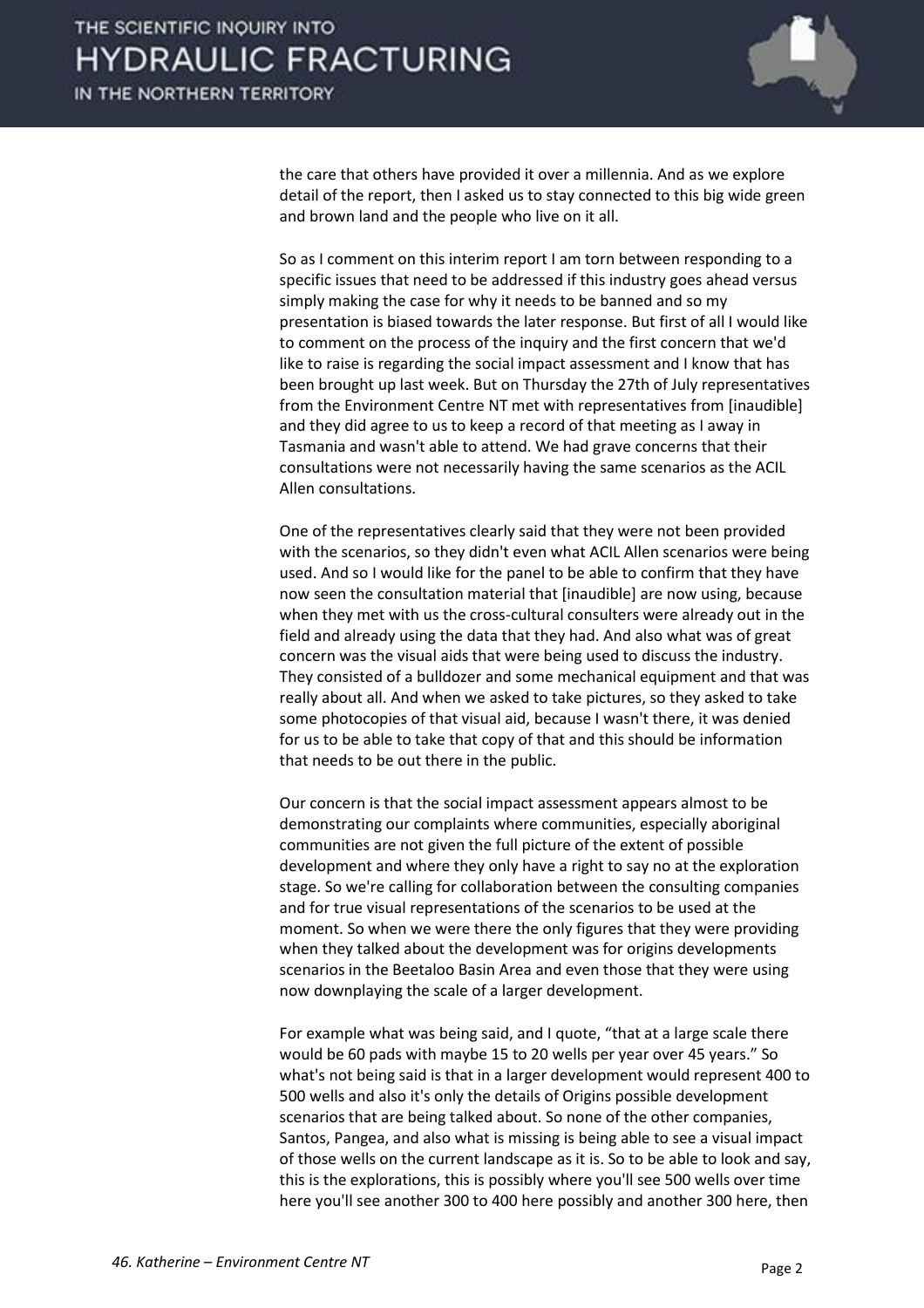

the care that others have provided it over a millennia. And as we explore detail of the report, then I asked us to stay connected to this big wide green and brown land and the people who live on it all.

So as I comment on this interim report I am torn between responding to a specific issues that need to be addressed if this industry goes ahead versus simply making the case for why it needs to be banned and so my presentation is biased towards the later response. But first of all I would like to comment on the process of the inquiry and the first concern that we'd like to raise is regarding the social impact assessment and I know that has been brought up last week. But on Thursday the 27th of July representatives from the Environment Centre NT met with representatives from [inaudible] and they did agree to us to keep a record of that meeting as I away in Tasmania and wasn't able to attend. We had grave concerns that their consultations were not necessarily having the same scenarios as the ACIL Allen consultations.

One of the representatives clearly said that they were not been provided with the scenarios, so they didn't even what ACIL Allen scenarios were being used. And so I would like for the panel to be able to confirm that they have now seen the consultation material that [inaudible] are now using, because when they met with us the cross-cultural consulters were already out in the field and already using the data that they had. And also what was of great concern was the visual aids that were being used to discuss the industry. They consisted of a bulldozer and some mechanical equipment and that was really about all. And when we asked to take pictures, so they asked to take some photocopies of that visual aid, because I wasn't there, it was denied for us to be able to take that copy of that and this should be information that needs to be out there in the public.

Our concern is that the social impact assessment appears almost to be demonstrating our complaints where communities, especially aboriginal communities are not given the full picture of the extent of possible development and where they only have a right to say no at the exploration stage. So we're calling for collaboration between the consulting companies and for true visual representations of the scenarios to be used at the moment. So when we were there the only figures that they were providing when they talked about the development was for origins developments scenarios in the Beetaloo Basin Area and even those that they were using now downplaying the scale of a larger development.

For example what was being said, and I quote, "that at a large scale there would be 60 pads with maybe 15 to 20 wells per year over 45 years." So what's not being said is that in a larger development would represent 400 to 500 wells and also it's only the details of Origins possible development scenarios that are being talked about. So none of the other companies, Santos, Pangea, and also what is missing is being able to see a visual impact of those wells on the current landscape as it is. So to be able to look and say, this is the explorations, this is possibly where you'll see 500 wells over time here you'll see another 300 to 400 here possibly and another 300 here, then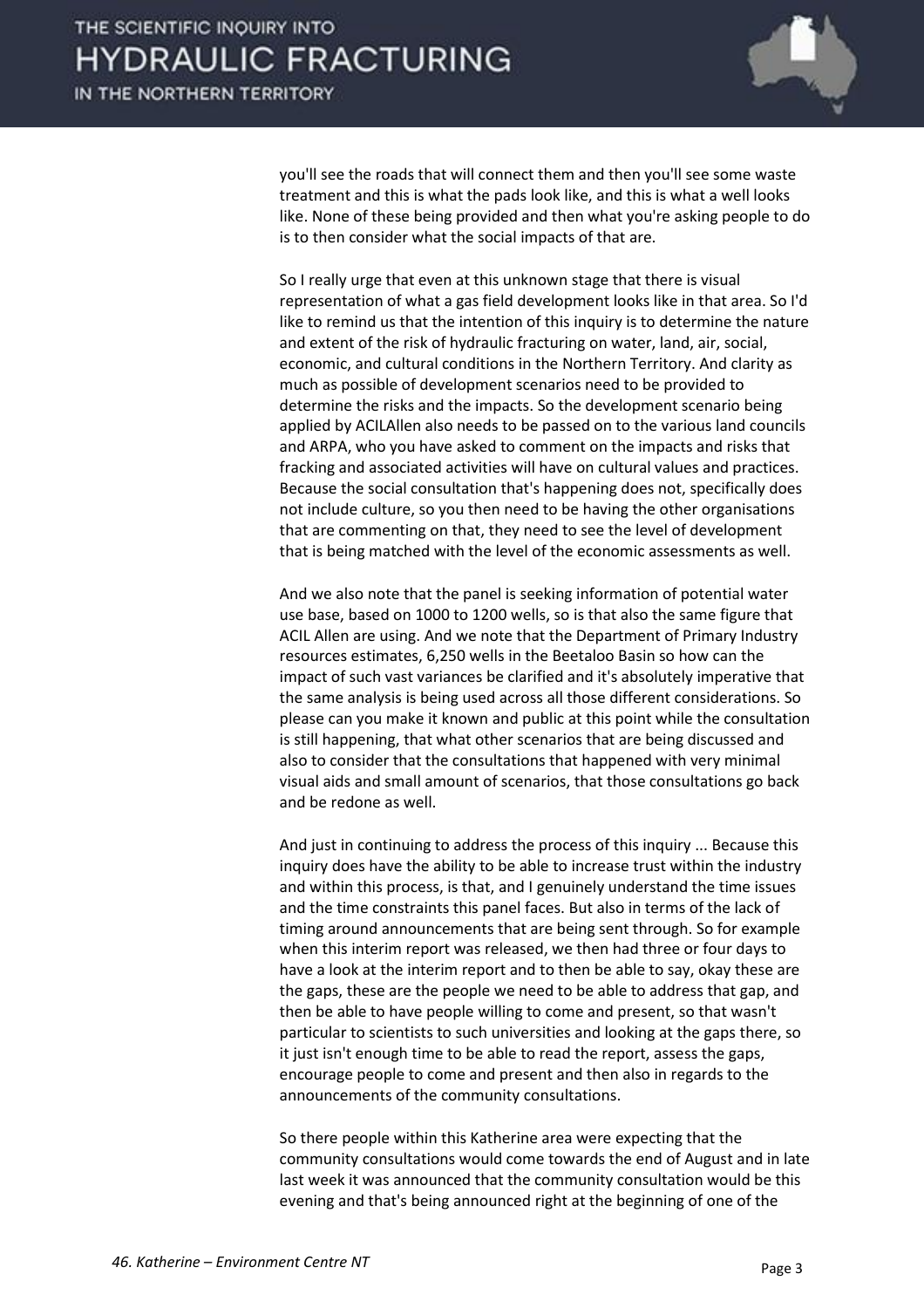

you'll see the roads that will connect them and then you'll see some waste treatment and this is what the pads look like, and this is what a well looks like. None of these being provided and then what you're asking people to do is to then consider what the social impacts of that are.

So I really urge that even at this unknown stage that there is visual representation of what a gas field development looks like in that area. So I'd like to remind us that the intention of this inquiry is to determine the nature and extent of the risk of hydraulic fracturing on water, land, air, social, economic, and cultural conditions in the Northern Territory. And clarity as much as possible of development scenarios need to be provided to determine the risks and the impacts. So the development scenario being applied by ACILAllen also needs to be passed on to the various land councils and ARPA, who you have asked to comment on the impacts and risks that fracking and associated activities will have on cultural values and practices. Because the social consultation that's happening does not, specifically does not include culture, so you then need to be having the other organisations that are commenting on that, they need to see the level of development that is being matched with the level of the economic assessments as well.

And we also note that the panel is seeking information of potential water use base, based on 1000 to 1200 wells, so is that also the same figure that ACIL Allen are using. And we note that the Department of Primary Industry resources estimates, 6,250 wells in the Beetaloo Basin so how can the impact of such vast variances be clarified and it's absolutely imperative that the same analysis is being used across all those different considerations. So please can you make it known and public at this point while the consultation is still happening, that what other scenarios that are being discussed and also to consider that the consultations that happened with very minimal visual aids and small amount of scenarios, that those consultations go back and be redone as well.

And just in continuing to address the process of this inquiry ... Because this inquiry does have the ability to be able to increase trust within the industry and within this process, is that, and I genuinely understand the time issues and the time constraints this panel faces. But also in terms of the lack of timing around announcements that are being sent through. So for example when this interim report was released, we then had three or four days to have a look at the interim report and to then be able to say, okay these are the gaps, these are the people we need to be able to address that gap, and then be able to have people willing to come and present, so that wasn't particular to scientists to such universities and looking at the gaps there, so it just isn't enough time to be able to read the report, assess the gaps, encourage people to come and present and then also in regards to the announcements of the community consultations.

So there people within this Katherine area were expecting that the community consultations would come towards the end of August and in late last week it was announced that the community consultation would be this evening and that's being announced right at the beginning of one of the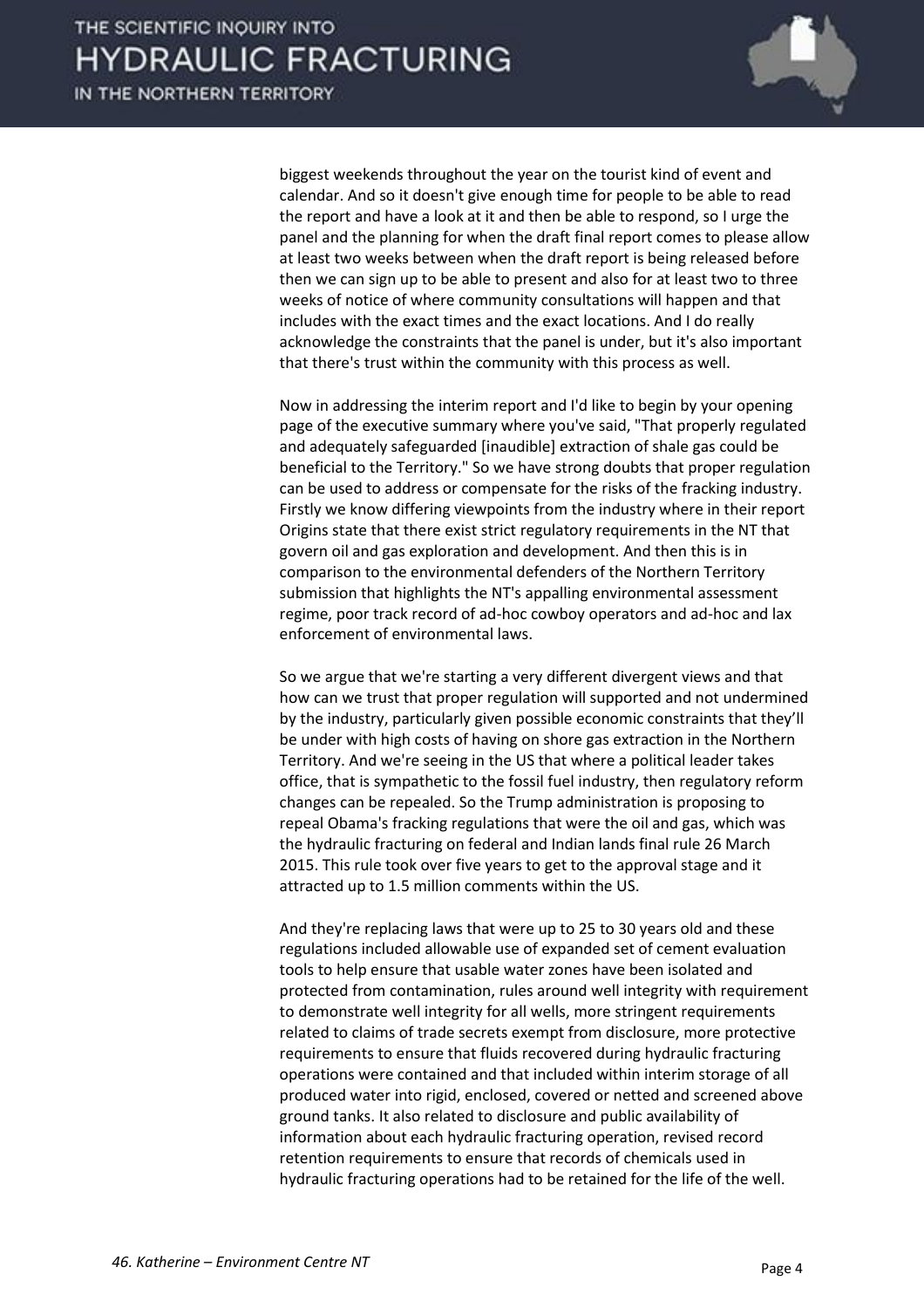

biggest weekends throughout the year on the tourist kind of event and calendar. And so it doesn't give enough time for people to be able to read the report and have a look at it and then be able to respond, so I urge the panel and the planning for when the draft final report comes to please allow at least two weeks between when the draft report is being released before then we can sign up to be able to present and also for at least two to three weeks of notice of where community consultations will happen and that includes with the exact times and the exact locations. And I do really acknowledge the constraints that the panel is under, but it's also important that there's trust within the community with this process as well.

Now in addressing the interim report and I'd like to begin by your opening page of the executive summary where you've said, "That properly regulated and adequately safeguarded [inaudible] extraction of shale gas could be beneficial to the Territory." So we have strong doubts that proper regulation can be used to address or compensate for the risks of the fracking industry. Firstly we know differing viewpoints from the industry where in their report Origins state that there exist strict regulatory requirements in the NT that govern oil and gas exploration and development. And then this is in comparison to the environmental defenders of the Northern Territory submission that highlights the NT's appalling environmental assessment regime, poor track record of ad-hoc cowboy operators and ad-hoc and lax enforcement of environmental laws.

So we argue that we're starting a very different divergent views and that how can we trust that proper regulation will supported and not undermined by the industry, particularly given possible economic constraints that they'll be under with high costs of having on shore gas extraction in the Northern Territory. And we're seeing in the US that where a political leader takes office, that is sympathetic to the fossil fuel industry, then regulatory reform changes can be repealed. So the Trump administration is proposing to repeal Obama's fracking regulations that were the oil and gas, which was the hydraulic fracturing on federal and Indian lands final rule 26 March 2015. This rule took over five years to get to the approval stage and it attracted up to 1.5 million comments within the US.

And they're replacing laws that were up to 25 to 30 years old and these regulations included allowable use of expanded set of cement evaluation tools to help ensure that usable water zones have been isolated and protected from contamination, rules around well integrity with requirement to demonstrate well integrity for all wells, more stringent requirements related to claims of trade secrets exempt from disclosure, more protective requirements to ensure that fluids recovered during hydraulic fracturing operations were contained and that included within interim storage of all produced water into rigid, enclosed, covered or netted and screened above ground tanks. It also related to disclosure and public availability of information about each hydraulic fracturing operation, revised record retention requirements to ensure that records of chemicals used in hydraulic fracturing operations had to be retained for the life of the well.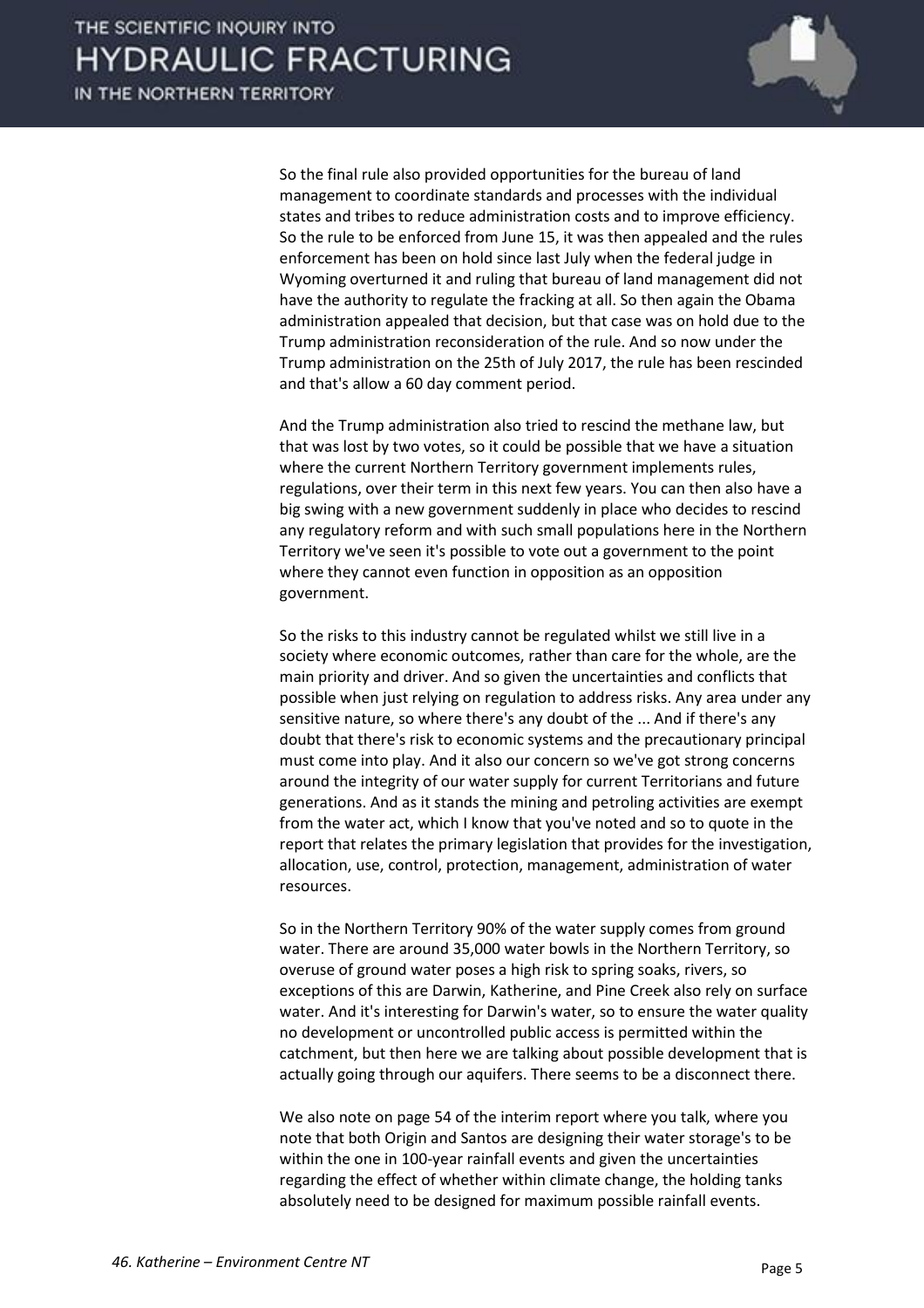

So the final rule also provided opportunities for the bureau of land management to coordinate standards and processes with the individual states and tribes to reduce administration costs and to improve efficiency. So the rule to be enforced from June 15, it was then appealed and the rules enforcement has been on hold since last July when the federal judge in Wyoming overturned it and ruling that bureau of land management did not have the authority to regulate the fracking at all. So then again the Obama administration appealed that decision, but that case was on hold due to the Trump administration reconsideration of the rule. And so now under the Trump administration on the 25th of July 2017, the rule has been rescinded and that's allow a 60 day comment period.

And the Trump administration also tried to rescind the methane law, but that was lost by two votes, so it could be possible that we have a situation where the current Northern Territory government implements rules, regulations, over their term in this next few years. You can then also have a big swing with a new government suddenly in place who decides to rescind any regulatory reform and with such small populations here in the Northern Territory we've seen it's possible to vote out a government to the point where they cannot even function in opposition as an opposition government.

So the risks to this industry cannot be regulated whilst we still live in a society where economic outcomes, rather than care for the whole, are the main priority and driver. And so given the uncertainties and conflicts that possible when just relying on regulation to address risks. Any area under any sensitive nature, so where there's any doubt of the ... And if there's any doubt that there's risk to economic systems and the precautionary principal must come into play. And it also our concern so we've got strong concerns around the integrity of our water supply for current Territorians and future generations. And as it stands the mining and petroling activities are exempt from the water act, which I know that you've noted and so to quote in the report that relates the primary legislation that provides for the investigation, allocation, use, control, protection, management, administration of water resources.

So in the Northern Territory 90% of the water supply comes from ground water. There are around 35,000 water bowls in the Northern Territory, so overuse of ground water poses a high risk to spring soaks, rivers, so exceptions of this are Darwin, Katherine, and Pine Creek also rely on surface water. And it's interesting for Darwin's water, so to ensure the water quality no development or uncontrolled public access is permitted within the catchment, but then here we are talking about possible development that is actually going through our aquifers. There seems to be a disconnect there.

We also note on page 54 of the interim report where you talk, where you note that both Origin and Santos are designing their water storage's to be within the one in 100-year rainfall events and given the uncertainties regarding the effect of whether within climate change, the holding tanks absolutely need to be designed for maximum possible rainfall events.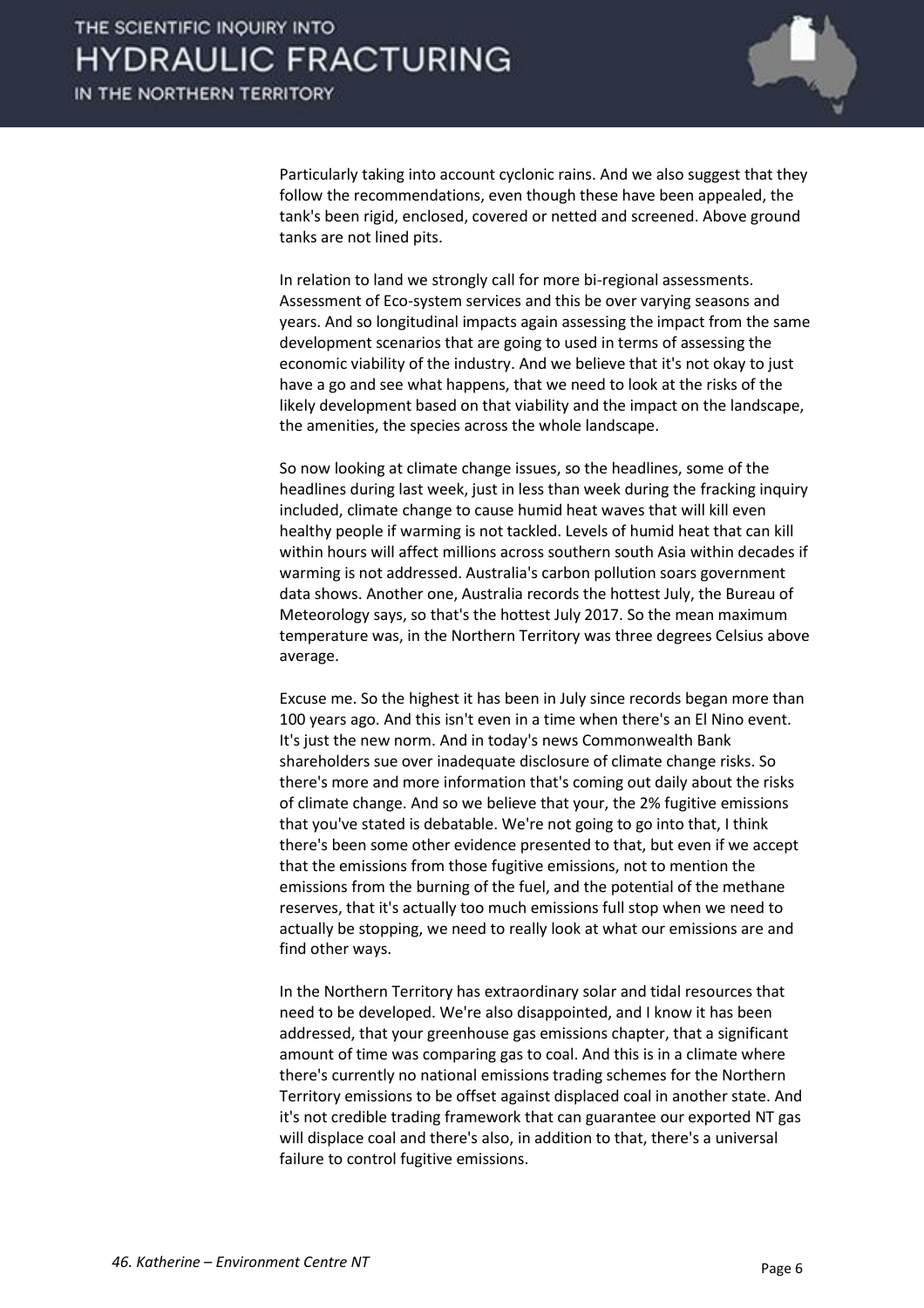

Particularly taking into account cyclonic rains. And we also suggest that they follow the recommendations, even though these have been appealed, the tank's been rigid, enclosed, covered or netted and screened. Above ground tanks are not lined pits.

In relation to land we strongly call for more bi-regional assessments. Assessment of Eco-system services and this be over varying seasons and years. And so longitudinal impacts again assessing the impact from the same development scenarios that are going to used in terms of assessing the economic viability of the industry. And we believe that it's not okay to just have a go and see what happens, that we need to look at the risks of the likely development based on that viability and the impact on the landscape, the amenities, the species across the whole landscape.

So now looking at climate change issues, so the headlines, some of the headlines during last week, just in less than week during the fracking inquiry included, climate change to cause humid heat waves that will kill even healthy people if warming is not tackled. Levels of humid heat that can kill within hours will affect millions across southern south Asia within decades if warming is not addressed. Australia's carbon pollution soars government data shows. Another one, Australia records the hottest July, the Bureau of Meteorology says, so that's the hottest July 2017. So the mean maximum temperature was, in the Northern Territory was three degrees Celsius above average.

Excuse me. So the highest it has been in July since records began more than 100 years ago. And this isn't even in a time when there's an El Nino event. It's just the new norm. And in today's news Commonwealth Bank shareholders sue over inadequate disclosure of climate change risks. So there's more and more information that's coming out daily about the risks of climate change. And so we believe that your, the 2% fugitive emissions that you've stated is debatable. We're not going to go into that, I think there's been some other evidence presented to that, but even if we accept that the emissions from those fugitive emissions, not to mention the emissions from the burning of the fuel, and the potential of the methane reserves, that it's actually too much emissions full stop when we need to actually be stopping, we need to really look at what our emissions are and find other ways.

In the Northern Territory has extraordinary solar and tidal resources that need to be developed. We're also disappointed, and I know it has been addressed, that your greenhouse gas emissions chapter, that a significant amount of time was comparing gas to coal. And this is in a climate where there's currently no national emissions trading schemes for the Northern Territory emissions to be offset against displaced coal in another state. And it's not credible trading framework that can guarantee our exported NT gas will displace coal and there's also, in addition to that, there's a universal failure to control fugitive emissions.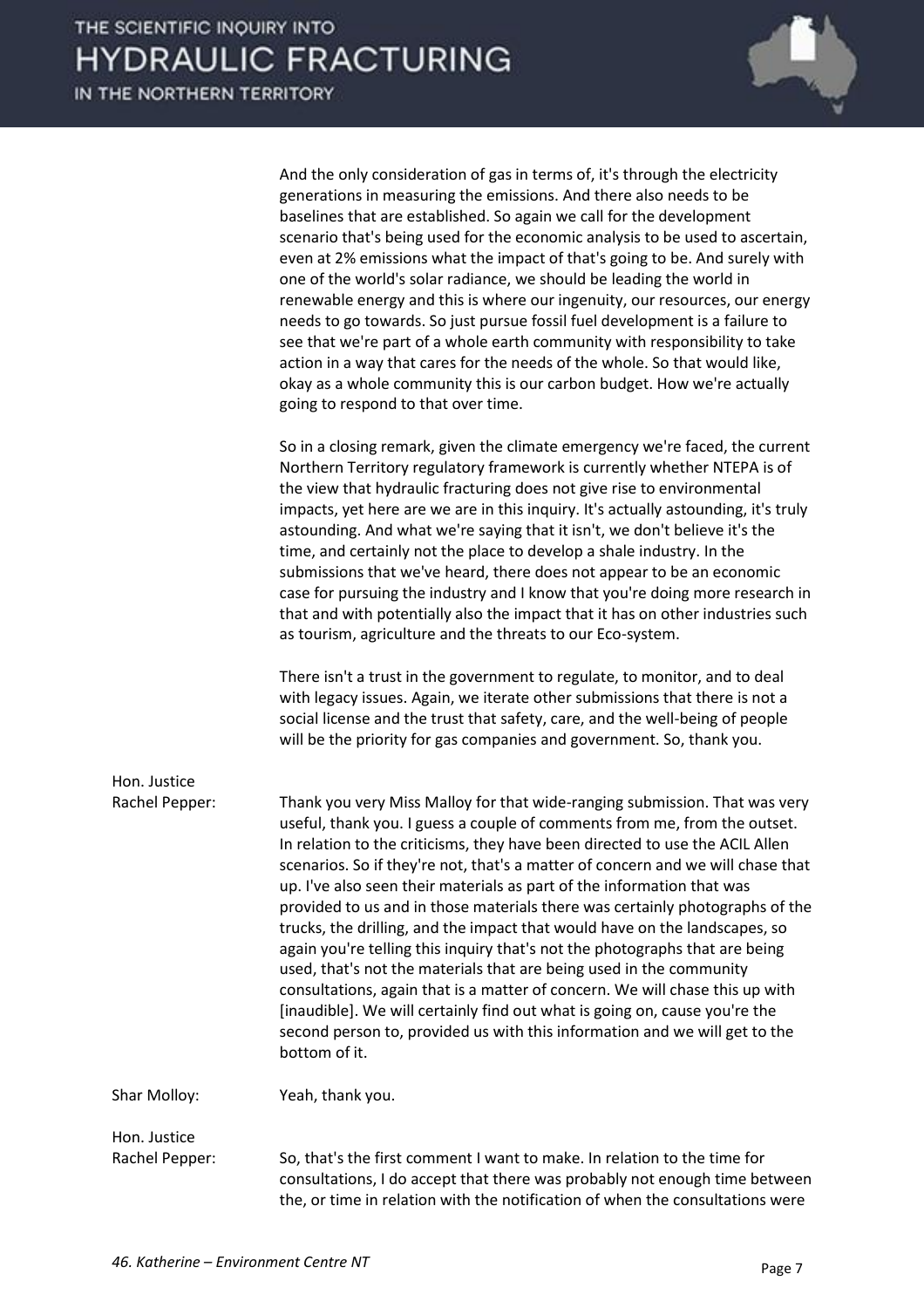|                | And the only consideration of gas in terms of, it's through the electricity<br>generations in measuring the emissions. And there also needs to be<br>baselines that are established. So again we call for the development<br>scenario that's being used for the economic analysis to be used to ascertain,<br>even at 2% emissions what the impact of that's going to be. And surely with<br>one of the world's solar radiance, we should be leading the world in<br>renewable energy and this is where our ingenuity, our resources, our energy<br>needs to go towards. So just pursue fossil fuel development is a failure to<br>see that we're part of a whole earth community with responsibility to take<br>action in a way that cares for the needs of the whole. So that would like,<br>okay as a whole community this is our carbon budget. How we're actually<br>going to respond to that over time.                                                                         |
|----------------|---------------------------------------------------------------------------------------------------------------------------------------------------------------------------------------------------------------------------------------------------------------------------------------------------------------------------------------------------------------------------------------------------------------------------------------------------------------------------------------------------------------------------------------------------------------------------------------------------------------------------------------------------------------------------------------------------------------------------------------------------------------------------------------------------------------------------------------------------------------------------------------------------------------------------------------------------------------------------------------|
|                | So in a closing remark, given the climate emergency we're faced, the current<br>Northern Territory regulatory framework is currently whether NTEPA is of<br>the view that hydraulic fracturing does not give rise to environmental<br>impacts, yet here are we are in this inquiry. It's actually astounding, it's truly<br>astounding. And what we're saying that it isn't, we don't believe it's the<br>time, and certainly not the place to develop a shale industry. In the<br>submissions that we've heard, there does not appear to be an economic<br>case for pursuing the industry and I know that you're doing more research in<br>that and with potentially also the impact that it has on other industries such<br>as tourism, agriculture and the threats to our Eco-system.                                                                                                                                                                                              |
|                | There isn't a trust in the government to regulate, to monitor, and to deal<br>with legacy issues. Again, we iterate other submissions that there is not a<br>social license and the trust that safety, care, and the well-being of people<br>will be the priority for gas companies and government. So, thank you.                                                                                                                                                                                                                                                                                                                                                                                                                                                                                                                                                                                                                                                                    |
| Hon. Justice   |                                                                                                                                                                                                                                                                                                                                                                                                                                                                                                                                                                                                                                                                                                                                                                                                                                                                                                                                                                                       |
| Rachel Pepper: | Thank you very Miss Malloy for that wide-ranging submission. That was very<br>useful, thank you. I guess a couple of comments from me, from the outset.<br>In relation to the criticisms, they have been directed to use the ACIL Allen<br>scenarios. So if they're not, that's a matter of concern and we will chase that<br>up. I've also seen their materials as part of the information that was<br>provided to us and in those materials there was certainly photographs of the<br>trucks, the drilling, and the impact that would have on the landscapes, so<br>again you're telling this inquiry that's not the photographs that are being<br>used, that's not the materials that are being used in the community<br>consultations, again that is a matter of concern. We will chase this up with<br>[inaudible]. We will certainly find out what is going on, cause you're the<br>second person to, provided us with this information and we will get to the<br>bottom of it. |
| Shar Molloy:   | Yeah, thank you.                                                                                                                                                                                                                                                                                                                                                                                                                                                                                                                                                                                                                                                                                                                                                                                                                                                                                                                                                                      |
| Hon. Justice   |                                                                                                                                                                                                                                                                                                                                                                                                                                                                                                                                                                                                                                                                                                                                                                                                                                                                                                                                                                                       |
| Rachel Pepper: | So, that's the first comment I want to make. In relation to the time for<br>consultations, I do accept that there was probably not enough time between<br>the, or time in relation with the notification of when the consultations were                                                                                                                                                                                                                                                                                                                                                                                                                                                                                                                                                                                                                                                                                                                                               |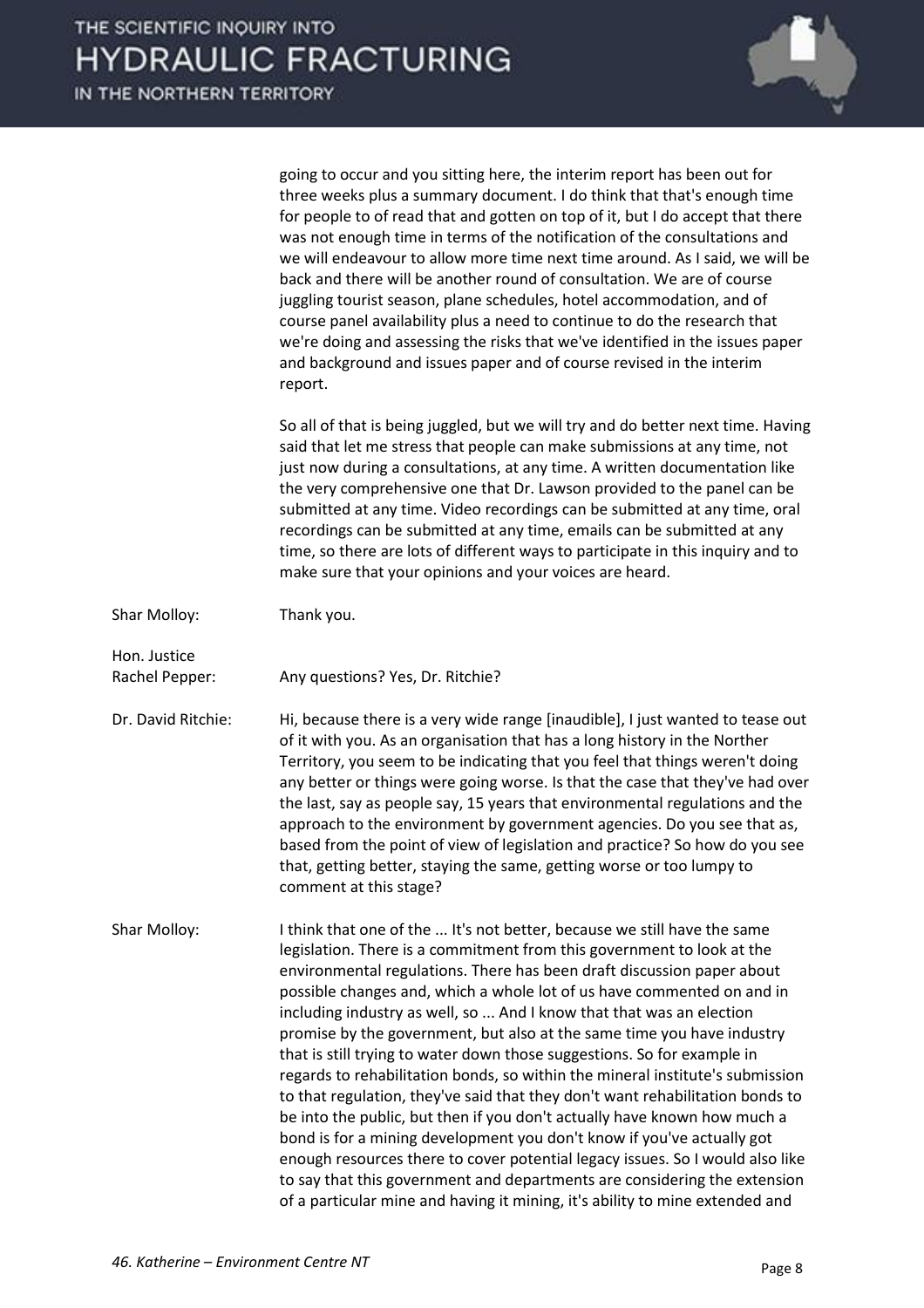

|                                | going to occur and you sitting here, the interim report has been out for<br>three weeks plus a summary document. I do think that that's enough time<br>for people to of read that and gotten on top of it, but I do accept that there<br>was not enough time in terms of the notification of the consultations and<br>we will endeavour to allow more time next time around. As I said, we will be<br>back and there will be another round of consultation. We are of course<br>juggling tourist season, plane schedules, hotel accommodation, and of<br>course panel availability plus a need to continue to do the research that<br>we're doing and assessing the risks that we've identified in the issues paper<br>and background and issues paper and of course revised in the interim<br>report.                                                                                                                                                                                                                                                                                                    |
|--------------------------------|-----------------------------------------------------------------------------------------------------------------------------------------------------------------------------------------------------------------------------------------------------------------------------------------------------------------------------------------------------------------------------------------------------------------------------------------------------------------------------------------------------------------------------------------------------------------------------------------------------------------------------------------------------------------------------------------------------------------------------------------------------------------------------------------------------------------------------------------------------------------------------------------------------------------------------------------------------------------------------------------------------------------------------------------------------------------------------------------------------------|
|                                | So all of that is being juggled, but we will try and do better next time. Having<br>said that let me stress that people can make submissions at any time, not<br>just now during a consultations, at any time. A written documentation like<br>the very comprehensive one that Dr. Lawson provided to the panel can be<br>submitted at any time. Video recordings can be submitted at any time, oral<br>recordings can be submitted at any time, emails can be submitted at any<br>time, so there are lots of different ways to participate in this inquiry and to<br>make sure that your opinions and your voices are heard.                                                                                                                                                                                                                                                                                                                                                                                                                                                                             |
| Shar Molloy:                   | Thank you.                                                                                                                                                                                                                                                                                                                                                                                                                                                                                                                                                                                                                                                                                                                                                                                                                                                                                                                                                                                                                                                                                                |
| Hon. Justice<br>Rachel Pepper: | Any questions? Yes, Dr. Ritchie?                                                                                                                                                                                                                                                                                                                                                                                                                                                                                                                                                                                                                                                                                                                                                                                                                                                                                                                                                                                                                                                                          |
| Dr. David Ritchie:             | Hi, because there is a very wide range [inaudible], I just wanted to tease out<br>of it with you. As an organisation that has a long history in the Norther<br>Territory, you seem to be indicating that you feel that things weren't doing<br>any better or things were going worse. Is that the case that they've had over<br>the last, say as people say, 15 years that environmental regulations and the<br>approach to the environment by government agencies. Do you see that as,<br>based from the point of view of legislation and practice? So how do you see<br>that, getting better, staying the same, getting worse or too lumpy to<br>comment at this stage?                                                                                                                                                                                                                                                                                                                                                                                                                                 |
| Shar Molloy:                   | I think that one of the  It's not better, because we still have the same<br>legislation. There is a commitment from this government to look at the<br>environmental regulations. There has been draft discussion paper about<br>possible changes and, which a whole lot of us have commented on and in<br>including industry as well, so  And I know that that was an election<br>promise by the government, but also at the same time you have industry<br>that is still trying to water down those suggestions. So for example in<br>regards to rehabilitation bonds, so within the mineral institute's submission<br>to that regulation, they've said that they don't want rehabilitation bonds to<br>be into the public, but then if you don't actually have known how much a<br>bond is for a mining development you don't know if you've actually got<br>enough resources there to cover potential legacy issues. So I would also like<br>to say that this government and departments are considering the extension<br>of a particular mine and having it mining, it's ability to mine extended and |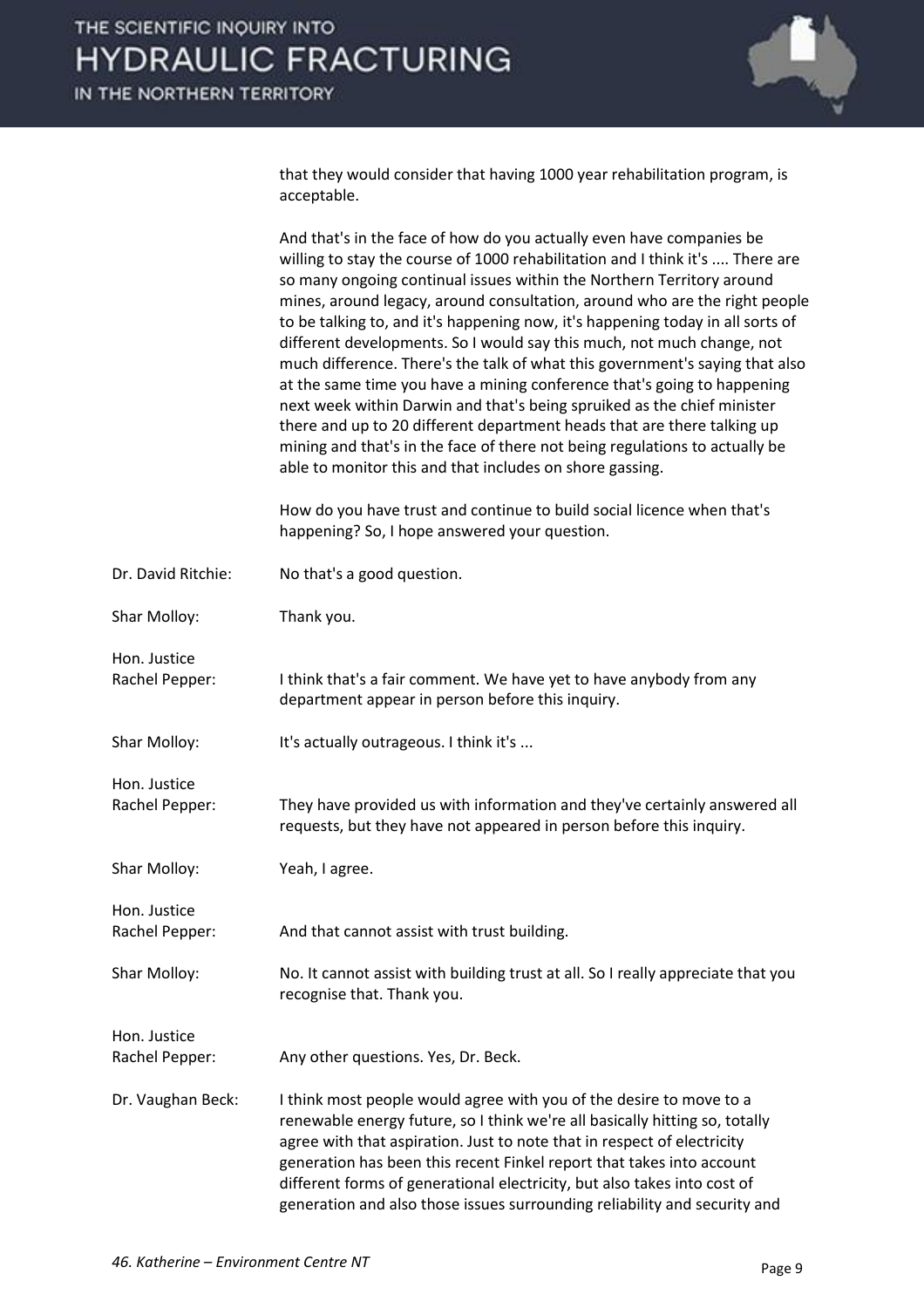

that they would consider that having 1000 year rehabilitation program, is acceptable.

|                                | And that's in the face of how do you actually even have companies be<br>willing to stay the course of 1000 rehabilitation and I think it's  There are<br>so many ongoing continual issues within the Northern Territory around<br>mines, around legacy, around consultation, around who are the right people<br>to be talking to, and it's happening now, it's happening today in all sorts of<br>different developments. So I would say this much, not much change, not<br>much difference. There's the talk of what this government's saying that also<br>at the same time you have a mining conference that's going to happening<br>next week within Darwin and that's being spruiked as the chief minister<br>there and up to 20 different department heads that are there talking up<br>mining and that's in the face of there not being regulations to actually be<br>able to monitor this and that includes on shore gassing. |
|--------------------------------|--------------------------------------------------------------------------------------------------------------------------------------------------------------------------------------------------------------------------------------------------------------------------------------------------------------------------------------------------------------------------------------------------------------------------------------------------------------------------------------------------------------------------------------------------------------------------------------------------------------------------------------------------------------------------------------------------------------------------------------------------------------------------------------------------------------------------------------------------------------------------------------------------------------------------------------|
|                                | How do you have trust and continue to build social licence when that's<br>happening? So, I hope answered your question.                                                                                                                                                                                                                                                                                                                                                                                                                                                                                                                                                                                                                                                                                                                                                                                                              |
| Dr. David Ritchie:             | No that's a good question.                                                                                                                                                                                                                                                                                                                                                                                                                                                                                                                                                                                                                                                                                                                                                                                                                                                                                                           |
| Shar Molloy:                   | Thank you.                                                                                                                                                                                                                                                                                                                                                                                                                                                                                                                                                                                                                                                                                                                                                                                                                                                                                                                           |
| Hon. Justice<br>Rachel Pepper: | I think that's a fair comment. We have yet to have anybody from any<br>department appear in person before this inquiry.                                                                                                                                                                                                                                                                                                                                                                                                                                                                                                                                                                                                                                                                                                                                                                                                              |
| Shar Molloy:                   | It's actually outrageous. I think it's                                                                                                                                                                                                                                                                                                                                                                                                                                                                                                                                                                                                                                                                                                                                                                                                                                                                                               |
| Hon. Justice<br>Rachel Pepper: | They have provided us with information and they've certainly answered all<br>requests, but they have not appeared in person before this inquiry.                                                                                                                                                                                                                                                                                                                                                                                                                                                                                                                                                                                                                                                                                                                                                                                     |
| Shar Molloy:                   | Yeah, I agree.                                                                                                                                                                                                                                                                                                                                                                                                                                                                                                                                                                                                                                                                                                                                                                                                                                                                                                                       |
| Hon. Justice<br>Rachel Pepper: | And that cannot assist with trust building.                                                                                                                                                                                                                                                                                                                                                                                                                                                                                                                                                                                                                                                                                                                                                                                                                                                                                          |
| Shar Molloy:                   | No. It cannot assist with building trust at all. So I really appreciate that you<br>recognise that. Thank you.                                                                                                                                                                                                                                                                                                                                                                                                                                                                                                                                                                                                                                                                                                                                                                                                                       |
| Hon. Justice                   |                                                                                                                                                                                                                                                                                                                                                                                                                                                                                                                                                                                                                                                                                                                                                                                                                                                                                                                                      |
| Rachel Pepper:                 | Any other questions. Yes, Dr. Beck.                                                                                                                                                                                                                                                                                                                                                                                                                                                                                                                                                                                                                                                                                                                                                                                                                                                                                                  |
| Dr. Vaughan Beck:              | I think most people would agree with you of the desire to move to a<br>renewable energy future, so I think we're all basically hitting so, totally<br>agree with that aspiration. Just to note that in respect of electricity<br>generation has been this recent Finkel report that takes into account<br>different forms of generational electricity, but also takes into cost of<br>generation and also those issues surrounding reliability and security and                                                                                                                                                                                                                                                                                                                                                                                                                                                                      |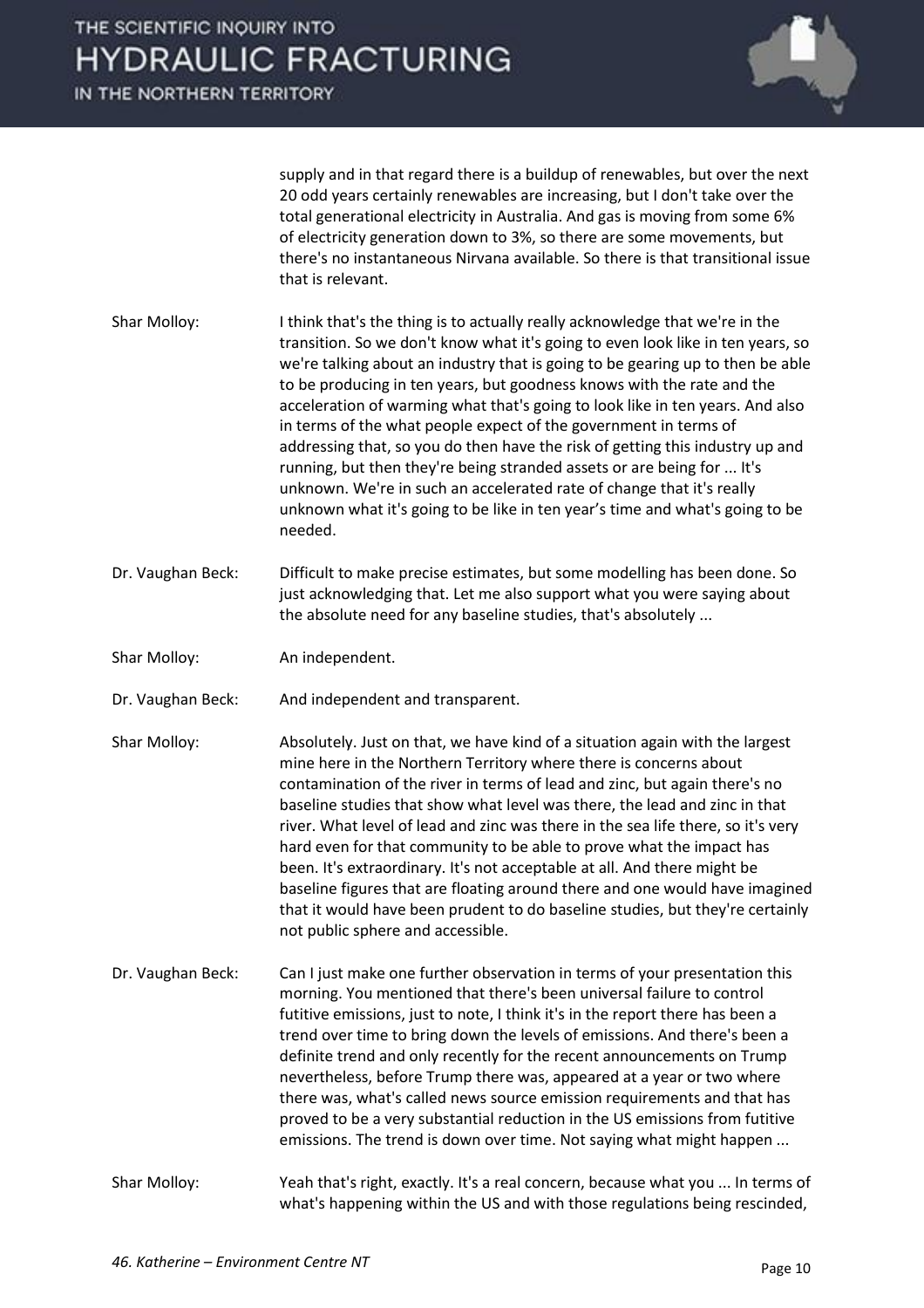IN THE NORTHERN TERRITORY



supply and in that regard there is a buildup of renewables, but over the next 20 odd years certainly renewables are increasing, but I don't take over the total generational electricity in Australia. And gas is moving from some 6% of electricity generation down to 3%, so there are some movements, but there's no instantaneous Nirvana available. So there is that transitional issue that is relevant.

- Shar Molloy: I think that's the thing is to actually really acknowledge that we're in the transition. So we don't know what it's going to even look like in ten years, so we're talking about an industry that is going to be gearing up to then be able to be producing in ten years, but goodness knows with the rate and the acceleration of warming what that's going to look like in ten years. And also in terms of the what people expect of the government in terms of addressing that, so you do then have the risk of getting this industry up and running, but then they're being stranded assets or are being for ... It's unknown. We're in such an accelerated rate of change that it's really unknown what it's going to be like in ten year's time and what's going to be needed.
- Dr. Vaughan Beck: Difficult to make precise estimates, but some modelling has been done. So just acknowledging that. Let me also support what you were saying about the absolute need for any baseline studies, that's absolutely ...
- Shar Molloy: An independent.
- Dr. Vaughan Beck: And independent and transparent.
- Shar Molloy: Absolutely. Just on that, we have kind of a situation again with the largest mine here in the Northern Territory where there is concerns about contamination of the river in terms of lead and zinc, but again there's no baseline studies that show what level was there, the lead and zinc in that river. What level of lead and zinc was there in the sea life there, so it's very hard even for that community to be able to prove what the impact has been. It's extraordinary. It's not acceptable at all. And there might be baseline figures that are floating around there and one would have imagined that it would have been prudent to do baseline studies, but they're certainly not public sphere and accessible.
- Dr. Vaughan Beck: Can I just make one further observation in terms of your presentation this morning. You mentioned that there's been universal failure to control futitive emissions, just to note, I think it's in the report there has been a trend over time to bring down the levels of emissions. And there's been a definite trend and only recently for the recent announcements on Trump nevertheless, before Trump there was, appeared at a year or two where there was, what's called news source emission requirements and that has proved to be a very substantial reduction in the US emissions from futitive emissions. The trend is down over time. Not saying what might happen ...
- Shar Molloy: Yeah that's right, exactly. It's a real concern, because what you ... In terms of what's happening within the US and with those regulations being rescinded,